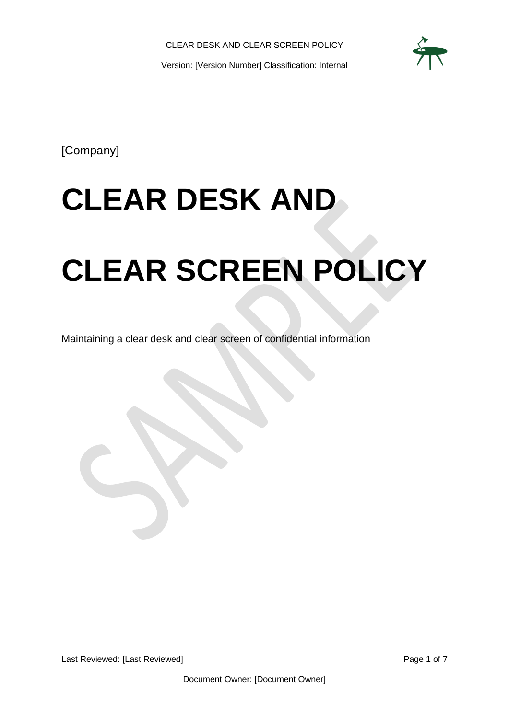

[Company]

# **CLEAR DESK AND**

# **CLEAR SCREEN POLICY**

Maintaining a clear desk and clear screen of confidential information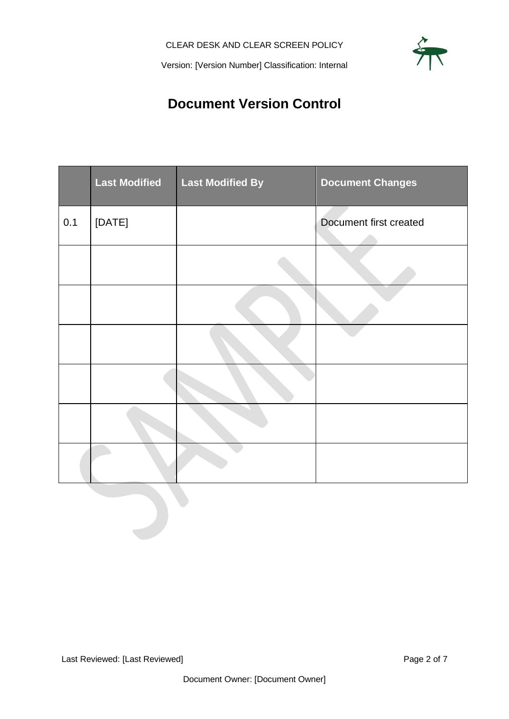## **Document Version Control**

<span id="page-1-0"></span>

|     | <b>Last Modified</b> | <b>Last Modified By</b> | <b>Document Changes</b> |
|-----|----------------------|-------------------------|-------------------------|
| 0.1 | [DATE]               |                         | Document first created  |
|     |                      |                         |                         |
|     |                      |                         |                         |
|     |                      |                         |                         |
|     |                      |                         |                         |
|     |                      |                         |                         |
|     |                      |                         |                         |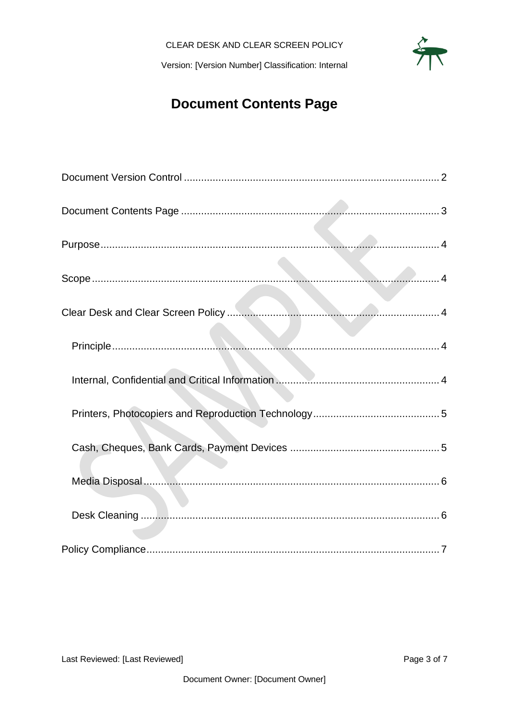## **Document Contents Page**

<span id="page-2-0"></span>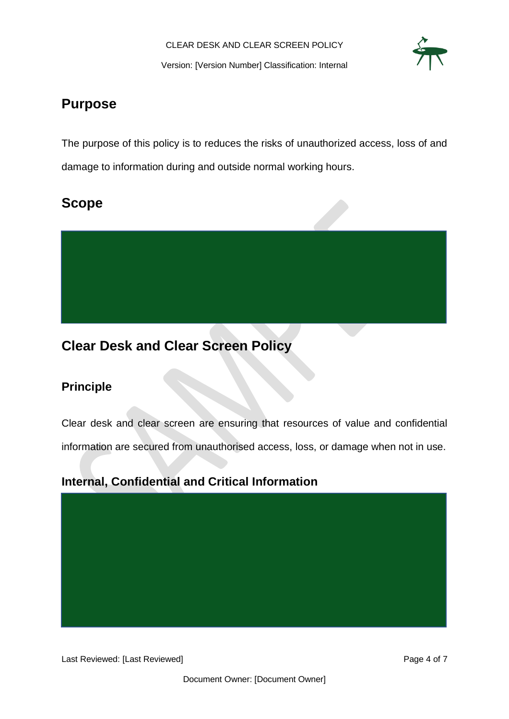

## <span id="page-3-0"></span>**Purpose**

The purpose of this policy is to reduces the risks of unauthorized access, loss of and damage to information during and outside normal working hours.

## <span id="page-3-1"></span>**Scope**



## <span id="page-3-2"></span>**Clear Desk and Clear Screen Policy**

### <span id="page-3-3"></span>**Principle**

Clear desk and clear screen are ensuring that resources of value and confidential information are secured from unauthorised access, loss, or damage when not in use.

#### <span id="page-3-4"></span>**Internal, Confidential and Critical Information**

Last Reviewed: [Last Reviewed] example 2012 12:33 and 2012 12:34 and 2012 12:34 and 2012 12:34 and 2012 12:34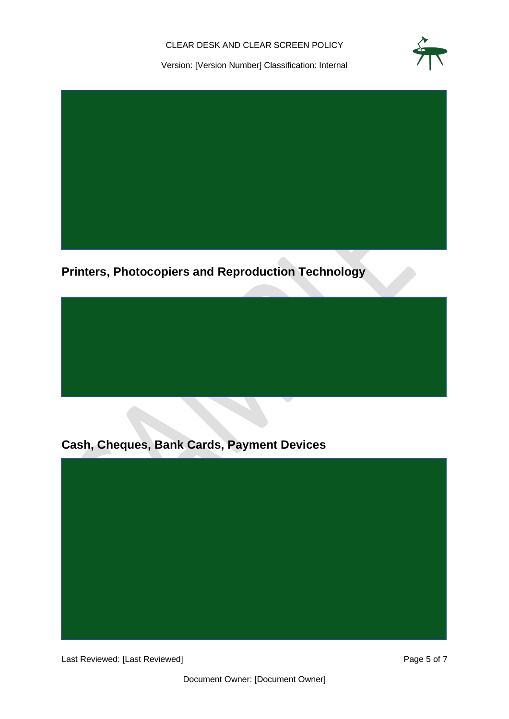CLEAR DESK AND CLEAR SCREEN POLICY



Version: [Version Number] Classification: Internal



<span id="page-4-0"></span>**Printers, Photocopiers and Reproduction Technology**

<span id="page-4-1"></span>**Cash, Cheques, Bank Cards, Payment Devices**



Last Reviewed: [Last Reviewed] example 2014 12:30 and 2015 12:30 Page 5 of 7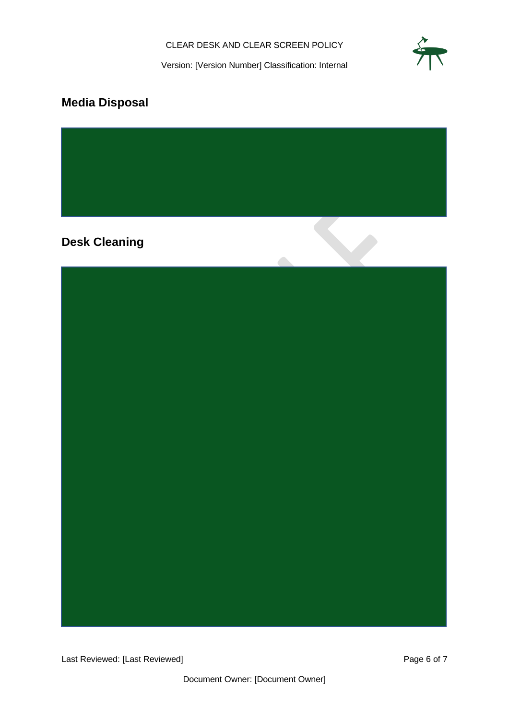

## <span id="page-5-0"></span>**Media Disposal**

<span id="page-5-1"></span>**Desk Cleaning**